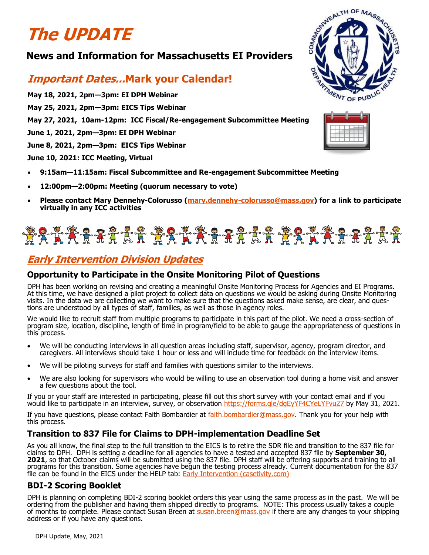# **The UPDATE**

## **News and Information for Massachusetts EI Providers**

# **Important Dates...Mark your Calendar!**

**May 18, 2021, 2pm—3pm: EI DPH Webinar**

**May 25, 2021, 2pm—3pm: EICS Tips Webinar** 

**May 27, 2021, 10am-12pm: ICC Fiscal/Re-engagement Subcommittee Meeting**

**June 1, 2021, 2pm—3pm: EI DPH Webinar**

**June 8, 2021, 2pm—3pm: EICS Tips Webinar**

**June 10, 2021: ICC Meeting, Virtual**

- **9:15am—11:15am: Fiscal Subcommittee and Re-engagement Subcommittee Meeting**
- **12:00pm—2:00pm: Meeting (quorum necessary to vote)**
- **Please contact Mary Dennehy-Colorusso (mary.dennehy-[colorusso@mass.gov\)](mailto:mary.dennehy-colorusso@mass.gov) for a link to participate virtually in any ICC activities**

# \*\*\*\*\*\*\*\*\*\*\*\*\*\*\*\*\*\*\*\*\*\*\*\*\*\*\*\*\*\*\*\*\*\*

# **Early Intervention Division Updates**

## **Opportunity to Participate in the Onsite Monitoring Pilot of Questions**

DPH has been working on revising and creating a meaningful Onsite Monitoring Process for Agencies and EI Programs. At this time, we have designed a pilot project to collect data on questions we would be asking during Onsite Monitoring visits. In the data we are collecting we want to make sure that the questions asked make sense, are clear, and questions are understood by all types of staff, families, as well as those in agency roles.

We would like to recruit staff from multiple programs to participate in this part of the pilot. We need a cross-section of program size, location, discipline, length of time in program/field to be able to gauge the appropriateness of questions in this process.

- We will be conducting interviews in all question areas including staff, supervisor, agency, program director, and caregivers. All interviews should take 1 hour or less and will include time for feedback on the interview items.
- We will be piloting surveys for staff and families with questions similar to the interviews.
- We are also looking for supervisors who would be willing to use an observation tool during a home visit and answer a few questions about the tool.

If you or your staff are interested in participating, please fill out this short survey with your contact email and if you would like to participate in an interview, survey, or observation <https://forms.gle/dgEyYF4CYeLYFvu27> by May 31, 2021.

If you have questions, please contact Faith Bombardier at [faith.bombardier@mass.gov.](mailto:faith.bombardier@mass.gov) Thank you for your help with this process.

### **Transition to 837 File for Claims to DPH-implementation Deadline Set**

As you all know, the final step to the full transition to the EICS is to retire the SDR file and transition to the 837 file for claims to DPH. DPH is setting a deadline for all agencies to have a tested and accepted 837 file by **September 30, 2021**, so that October claims will be submitted using the 837 file. DPH staff will be offering supports and training to all programs for this transition. Some agencies have begun the testing process already. Current documentation for the 837 file can be found in the EICS under the HELP tab: **[Early Intervention \(casetivity.com\)](https://maei.casetivity.com/pages/Help)** 

### **BDI-2 Scoring Booklet**

DPH is planning on completing BDI-2 scoring booklet orders this year using the same process as in the past. We will be ordering from the publisher and having them shipped directly to programs. NOTE: This process usually takes a couple of months to complete. Please contact Susan Breen at [susan.breen@mass.gov](mailto:susan.breen@mass.gov) if there are any changes to your shipping address or if you have any questions.